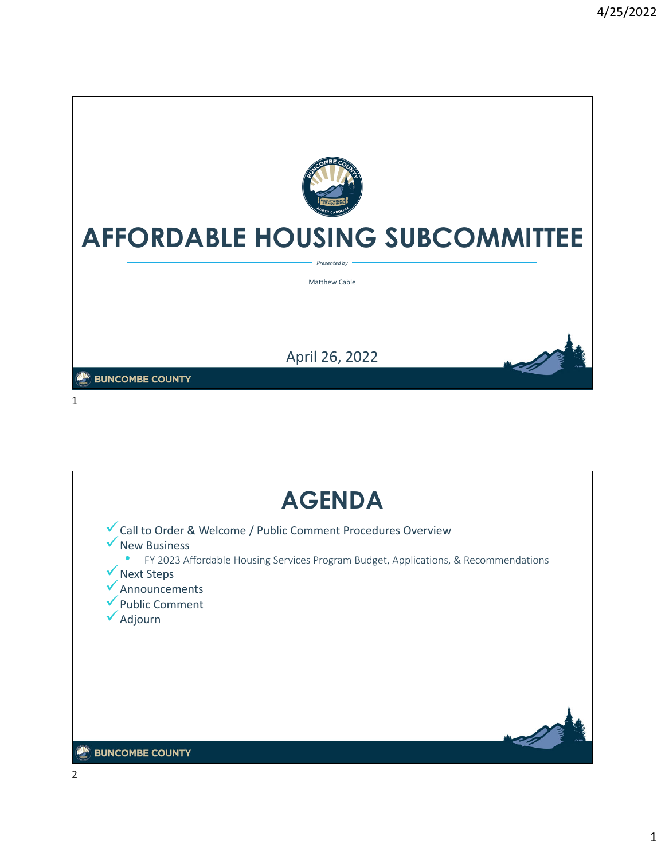

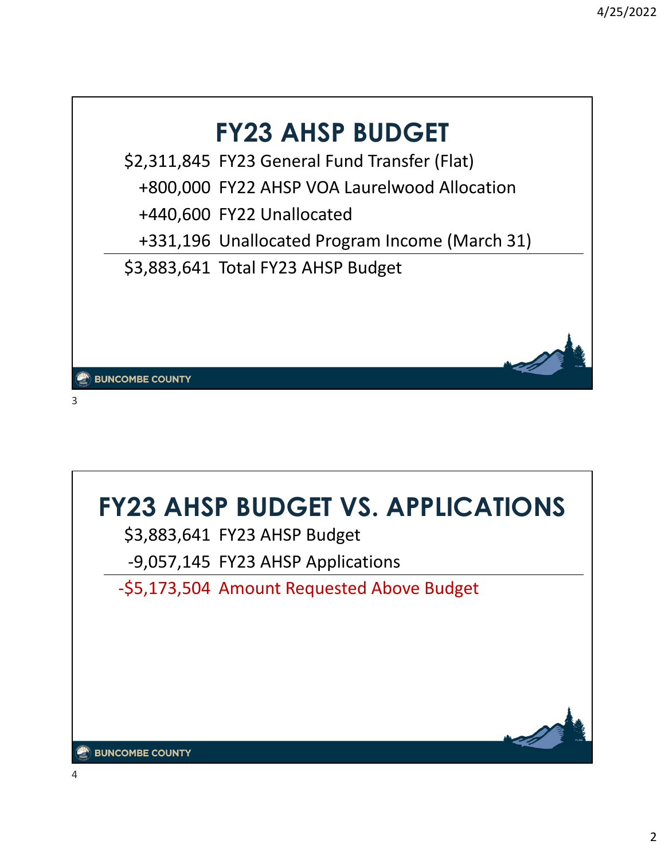